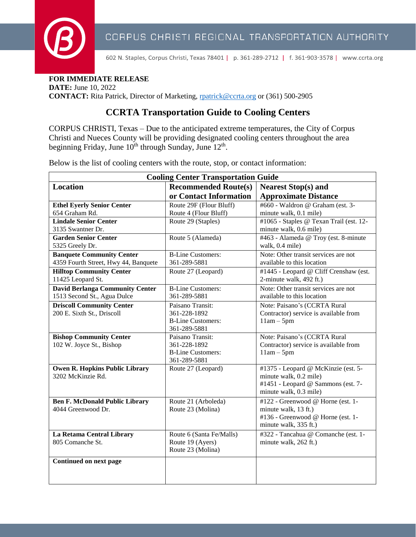

602 N. Staples, Corpus Christi, Texas 78401 | p. 361-289-2712 | f. 361-903-3578 | www.ccrta.org

**FOR IMMEDIATE RELEASE** 

**DATE:** June 10, 2022 **CONTACT:** Rita Patrick, Director of Marketing, reatrick@ccrta.org or (361) 500-2905

## **CCRTA Transportation Guide to Cooling Centers**

CORPUS CHRISTI, Texas – Due to the anticipated extreme temperatures, the City of Corpus Christi and Nueces County will be providing designated cooling centers throughout the area beginning Friday, June  $10^{th}$  through Sunday, June  $12^{th}$ .

Below is the list of cooling centers with the route, stop, or contact information:

| <b>Cooling Center Transportation Guide</b> |                                          |                                         |  |
|--------------------------------------------|------------------------------------------|-----------------------------------------|--|
| <b>Location</b>                            | <b>Recommended Route(s)</b>              | <b>Nearest Stop(s) and</b>              |  |
|                                            | or Contact Information                   | <b>Approximate Distance</b>             |  |
| <b>Ethel Eyerly Senior Center</b>          | Route 29F (Flour Bluff)                  | #660 - Waldron @ Graham (est. 3-        |  |
| 654 Graham Rd.                             | Route 4 (Flour Bluff)                    | minute walk, 0.1 mile)                  |  |
| <b>Lindale Senior Center</b>               | Route 29 (Staples)                       | #1065 - Staples @ Texan Trail (est. 12- |  |
| 3135 Swantner Dr.                          |                                          | minute walk, 0.6 mile)                  |  |
| <b>Garden Senior Center</b>                | Route 5 (Alameda)                        | #463 - Alameda @ Troy (est. 8-minute    |  |
| 5325 Greely Dr.                            |                                          | walk, 0.4 mile)                         |  |
| <b>Banquete Community Center</b>           | <b>B-Line Customers:</b>                 | Note: Other transit services are not    |  |
| 4359 Fourth Street, Hwy 44, Banquete       | 361-289-5881                             | available to this location              |  |
| <b>Hilltop Community Center</b>            | Route 27 (Leopard)                       | #1445 - Leopard @ Cliff Crenshaw (est.  |  |
| 11425 Leopard St.                          |                                          | 2-minute walk, 492 ft.)                 |  |
| <b>David Berlanga Community Center</b>     | <b>B-Line Customers:</b>                 | Note: Other transit services are not    |  |
| 1513 Second St., Agua Dulce                | 361-289-5881                             | available to this location              |  |
| <b>Driscoll Community Center</b>           | Paisano Transit:                         | Note: Paisano's (CCRTA Rural            |  |
| 200 E. Sixth St., Driscoll                 | 361-228-1892                             | Contractor) service is available from   |  |
|                                            | <b>B-Line Customers:</b><br>361-289-5881 | $11am - 5pm$                            |  |
| <b>Bishop Community Center</b>             | Paisano Transit:                         | Note: Paisano's (CCRTA Rural            |  |
| 102 W. Joyce St., Bishop                   | 361-228-1892                             | Contractor) service is available from   |  |
|                                            | <b>B-Line Customers:</b>                 | $11am - 5pm$                            |  |
|                                            | 361-289-5881                             |                                         |  |
| <b>Owen R. Hopkins Public Library</b>      | Route 27 (Leopard)                       | #1375 - Leopard @ McKinzie (est. 5-     |  |
| 3202 McKinzie Rd.                          |                                          | minute walk, 0.2 mile)                  |  |
|                                            |                                          | #1451 - Leopard @ Sammons (est. 7-      |  |
|                                            |                                          | minute walk, 0.3 mile)                  |  |
| <b>Ben F. McDonald Public Library</b>      | Route 21 (Arboleda)                      | #122 - Greenwood @ Horne (est. 1-       |  |
| 4044 Greenwood Dr.                         | Route 23 (Molina)                        | minute walk, 13 ft.)                    |  |
|                                            |                                          | #136 - Greenwood @ Horne (est. 1-       |  |
|                                            |                                          | minute walk, 335 ft.)                   |  |
| La Retama Central Library                  | Route 6 (Santa Fe/Malls)                 | #322 - Tancahua @ Comanche (est. 1-     |  |
| 805 Comanche St.                           | Route 19 (Ayers)                         | minute walk, 262 ft.)                   |  |
|                                            | Route 23 (Molina)                        |                                         |  |
| Continued on next page                     |                                          |                                         |  |
|                                            |                                          |                                         |  |
|                                            |                                          |                                         |  |